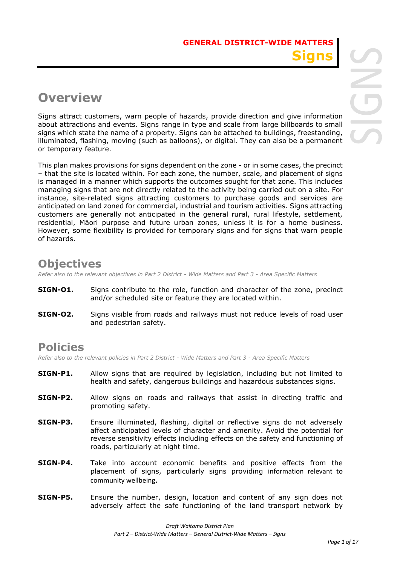# **Overview**

Signs attract customers, warn people of hazards, provide direction and give information about attractions and events. Signs range in type and scale from large billboards to small signs which state the name of a property. Signs can be attached to buildings, freestanding, illuminated, flashing, moving (such as balloons), or digital. They can also be a permanent or temporary feature.

This plan makes provisions for signs dependent on the zone - or in some cases, the precinct – that the site is located within. For each zone, the number, scale, and placement of signs is managed in a manner which supports the outcomes sought for that zone. This includes managing signs that are not directly related to the activity being carried out on a site. For instance, site-related signs attracting customers to purchase goods and services are anticipated on land zoned for commercial, industrial and tourism activities. Signs attracting customers are generally not anticipated in the general rural, rural lifestyle, settlement, residential, Māori purpose and future urban zones, unless it is for a home business. However, some flexibility is provided for temporary signs and for signs that warn people of hazards.

## **Objectives**

*Refer also to the relevant objectives in Part 2 District - Wide Matters and Part 3 - Area Specific Matters*

- **SIGN-01.** Signs contribute to the role, function and character of the zone, precinct and/or scheduled site or feature they are located within.
- **SIGN-O2.** Signs visible from roads and railways must not reduce levels of road user and pedestrian safety.

## **Policies**

*Refer also to the relevant policies in Part 2 District - Wide Matters and Part 3 - Area Specific Matters*

- **SIGN-P1.** Allow signs that are required by legislation, including but not limited to health and safety, dangerous buildings and hazardous substances signs.
- **SIGN-P2.** Allow signs on roads and railways that assist in directing traffic and promoting safety.
- **SIGN-P3.** Ensure illuminated, flashing, digital or reflective signs do not adversely affect anticipated levels of character and amenity. Avoid the potential for reverse sensitivity effects including effects on the safety and functioning of roads, particularly at night time.
- **SIGN-P4.** Take into account economic benefits and positive effects from the placement of signs, particularly signs providing information relevant to community wellbeing.
- **SIGN-P5.** Ensure the number, design, location and content of any sign does not adversely affect the safe functioning of the land transport network by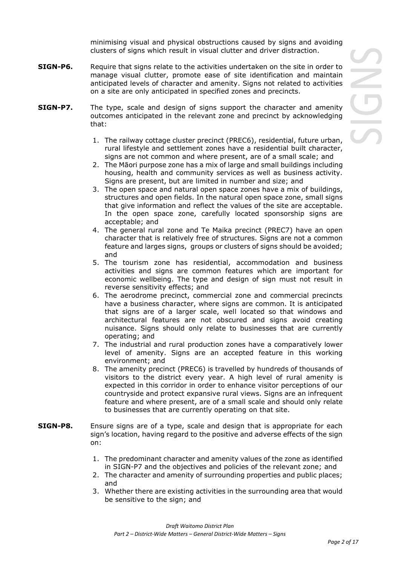minimising visual and physical obstructions caused by signs and avoiding clusters of signs which result in visual clutter and driver distraction.

- **SIGN-P6.** Require that signs relate to the activities undertaken on the site in order to manage visual clutter, promote ease of site identification and maintain anticipated levels of character and amenity. Signs not related to activities on a site are only anticipated in specified zones and precincts.
- **SIGN-P7.** The type, scale and design of signs support the character and amenity outcomes anticipated in the relevant zone and precinct by acknowledging that:
	- 1. The railway cottage cluster precinct (PREC6), residential, future urban, rural lifestyle and settlement zones have a residential built character, signs are not common and where present, are of a small scale; and
	- 2. The Māori purpose zone has a mix of large and small buildings including housing, health and community services as well as business activity. Signs are present, but are limited in number and size; and
	- 3. The open space and natural open space zones have a mix of buildings, structures and open fields. In the natural open space zone, small signs that give information and reflect the values of the site are acceptable. In the open space zone, carefully located sponsorship signs are acceptable; and
	- 4. The general rural zone and Te Maika precinct (PREC7) have an open character that is relatively free of structures. Signs are not a common feature and larges signs, groups or clusters of signs should be avoided; and
	- 5. The tourism zone has residential, accommodation and business activities and signs are common features which are important for economic wellbeing. The type and design of sign must not result in reverse sensitivity effects; and
	- 6. The aerodrome precinct, commercial zone and commercial precincts have a business character, where signs are common. It is anticipated that signs are of a larger scale, well located so that windows and architectural features are not obscured and signs avoid creating nuisance. Signs should only relate to businesses that are currently operating; and
	- 7. The industrial and rural production zones have a comparatively lower level of amenity. Signs are an accepted feature in this working environment; and
	- 8. The amenity precinct (PREC6) is travelled by hundreds of thousands of visitors to the district every year. A high level of rural amenity is expected in this corridor in order to enhance visitor perceptions of our countryside and protect expansive rural views. Signs are an infrequent feature and where present, are of a small scale and should only relate to businesses that are currently operating on that site.
- **SIGN-P8.** Ensure signs are of a type, scale and design that is appropriate for each sign's location, having regard to the positive and adverse effects of the sign on:
	- 1. The predominant character and amenity values of the zone as identified in SIGN-P7 and the objectives and policies of the relevant zone; and
	- 2. The character and amenity of surrounding properties and public places; and
	- 3. Whether there are existing activities in the surrounding area that would be sensitive to the sign; and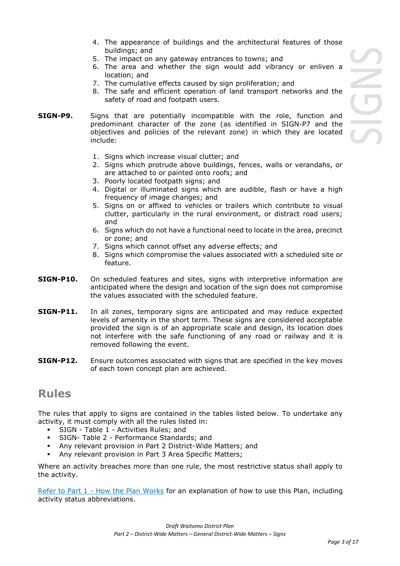- 4. The appearance of buildings and the architectural features of those buildings; and
- 5. The impact on any gateway entrances to towns; and
- 6. The area and whether the sign would add vibrancy or enliven a location; and
- 7. The cumulative effects caused by sign proliferation; and
- 8. The safe and efficient operation of land transport networks and the safety of road and footpath users.
- **SIGN-P9.** Signs that are potentially incompatible with the role, function and predominant character of the zone (as identified in SIGN-P7 and the objectives and policies of the relevant zone) in which they are located include:
	- 1. Signs which increase visual clutter; and
	- 2. Signs which protrude above buildings, fences, walls or verandahs, or are attached to or painted onto roofs; and
	- 3. Poorly located footpath signs; and
	- 4. Digital or illuminated signs which are audible, flash or have a high frequency of image changes; and
	- 5. Signs on or affixed to vehicles or trailers which contribute to visual clutter, particularly in the rural environment, or distract road users; and
	- 6. Signs which do not have a functional need to locate in the area, precinct or zone; and
	- 7. Signs which cannot offset any adverse effects; and
	- 8. Signs which compromise the values associated with a scheduled site or feature.
- **SIGN-P10.** On scheduled features and sites, signs with interpretive information are anticipated where the design and location of the sign does not compromise the values associated with the scheduled feature.
- **SIGN-P11.** In all zones, temporary signs are anticipated and may reduce expected levels of amenity in the short term. These signs are considered acceptable provided the sign is of an appropriate scale and design, its location does not interfere with the safe functioning of any road or railway and it is removed following the event.
- **SIGN-P12.** Ensure outcomes associated with signs that are specified in the key moves of each town concept plan are achieved.

### **Rules**

The rules that apply to signs are contained in the tables listed below. To undertake any activity, it must comply with all the rules listed in:

- SIGN Table 1 Activities Rules; and
- SIGN- Table 2 Performance Standards; and
- Any relevant provision in Part 2 District-Wide Matters; and
- Any relevant provision in Part 3 Area Specific Matters;

Where an activity breaches more than one rule, the most restrictive status shall apply to the activity.

Refer to [Part 1](javascript:void(0)) - How the Plan Works for an explanation of how to use this Plan, including activity status abbreviations.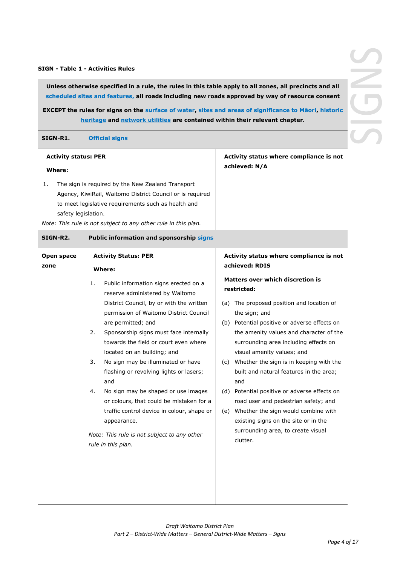#### **SIGN - Table 1 - Activities Rules**

**Unless otherwise specified in a rule, the rules in this table apply to all zones, all precincts and all scheduled sites and features, all roads including new roads approved by way of resource consent**

**EXCEPT the rules for signs on the surface of water, sites and areas of significance to Māori, historic heritage and network utilities are contained within their relevant chapter.**

| SIGN-R1.<br><b>Official signs</b> |  |
|-----------------------------------|--|
|-----------------------------------|--|

| <b>Activity status: PER</b>                         |                                                                | Activity status where compliance is not |  |
|-----------------------------------------------------|----------------------------------------------------------------|-----------------------------------------|--|
| Where:                                              |                                                                | achieved: N/A                           |  |
|                                                     | The sign is reguired by the New Zealand Transport              |                                         |  |
|                                                     | Agency, KiwiRail, Waitomo District Council or is reguired      |                                         |  |
| to meet legislative requirements such as health and |                                                                |                                         |  |
|                                                     | safety legislation.                                            |                                         |  |
|                                                     | Note: This rule is not subject to any other rule in this plan. |                                         |  |

| SIGN-R2.           | Public information and sponsorship signs                                                                           |                                                                                                                            |  |
|--------------------|--------------------------------------------------------------------------------------------------------------------|----------------------------------------------------------------------------------------------------------------------------|--|
| Open space<br>zone | <b>Activity Status: PER</b><br>Where:                                                                              | Activity status where compliance is not<br>achieved: RDIS                                                                  |  |
|                    | Public information signs erected on a<br>1.<br>reserve administered by Waitomo                                     | Matters over which discretion is<br>restricted:                                                                            |  |
|                    | District Council, by or with the written<br>permission of Waitomo District Council<br>are permitted; and           | (a) The proposed position and location of<br>the sign; and<br>(b) Potential positive or adverse effects on                 |  |
|                    | Sponsorship signs must face internally<br>2.<br>towards the field or court even where                              | the amenity values and character of the<br>surrounding area including effects on                                           |  |
|                    | located on an building; and<br>No sign may be illuminated or have<br>3.<br>flashing or revolving lights or lasers; | visual amenity values; and<br>(c) Whether the sign is in keeping with the<br>built and natural features in the area;       |  |
|                    | and<br>No sign may be shaped or use images<br>4.                                                                   | and<br>(d) Potential positive or adverse effects on                                                                        |  |
|                    | or colours, that could be mistaken for a<br>traffic control device in colour, shape or<br>appearance.              | road user and pedestrian safety; and<br>Whether the sign would combine with<br>(e)<br>existing signs on the site or in the |  |
|                    | Note: This rule is not subject to any other<br>rule in this plan.                                                  | surrounding area, to create visual<br>clutter.                                                                             |  |
|                    |                                                                                                                    |                                                                                                                            |  |
|                    |                                                                                                                    |                                                                                                                            |  |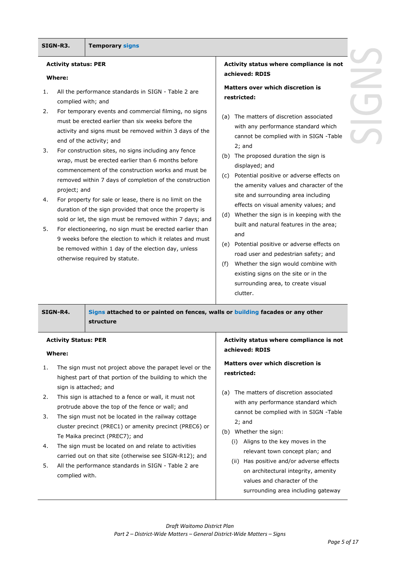#### **SIGN-R3. Temporary signs**

#### **Activity status: PER**

#### **Where:**

- 1. All the performance standards in SIGN Table 2 are complied with; and
- 2. For temporary events and commercial filming, no signs must be erected earlier than six weeks before the activity and signs must be removed within 3 days of the end of the activity; and
- 3. For construction sites, no signs including any fence wrap, must be erected earlier than 6 months before commencement of the construction works and must be removed within 7 days of completion of the construction project; and
- 4. For property for sale or lease, there is no limit on the duration of the sign provided that once the property is sold or let, the sign must be removed within 7 days; and
- 5. For electioneering, no sign must be erected earlier than 9 weeks before the election to which it relates and must be removed within 1 day of the election day, unless otherwise required by statute.

#### **Activity status where compliance is not achieved: RDIS**

#### **Matters over which discretion is restricted:**

- (a) The matters of discretion associated with any performance standard which cannot be complied with in SIGN -Table 2; and
- (b) The proposed duration the sign is displayed; and
- (c) Potential positive or adverse effects on the amenity values and character of the site and surrounding area including effects on visual amenity values; and
- (d) Whether the sign is in keeping with the built and natural features in the area; and
- (e) Potential positive or adverse effects on road user and pedestrian safety; and
- (f) Whether the sign would combine with existing signs on the site or in the surrounding area, to create visual clutter.

**SIGN-R4. Signs attached to or painted on fences, walls or building facades or any other structure**

#### **Activity Status: PER**

#### **Where:**

- 1. The sign must not project above the parapet level or the highest part of that portion of the building to which the sign is attached; and
- 2. This sign is attached to a fence or wall, it must not protrude above the top of the fence or wall; and
- 3. The sign must not be located in the railway cottage cluster precinct (PREC1) or amenity precinct (PREC6) or Te Maika precinct (PREC7); and
- 4. The sign must be located on and relate to activities carried out on that site (otherwise see SIGN-R12); and
- 5. All the performance standards in SIGN Table 2 are complied with.

#### **Activity status where compliance is not achieved: RDIS**

### **Matters over which discretion is restricted:**

- (a) The matters of discretion associated with any performance standard which cannot be complied with in SIGN -Table 2; and
- (b) Whether the sign:
	- (i) Aligns to the key moves in the relevant town concept plan; and
	- (ii) Has positive and/or adverse effects on architectural integrity, amenity values and character of the surrounding area including gateway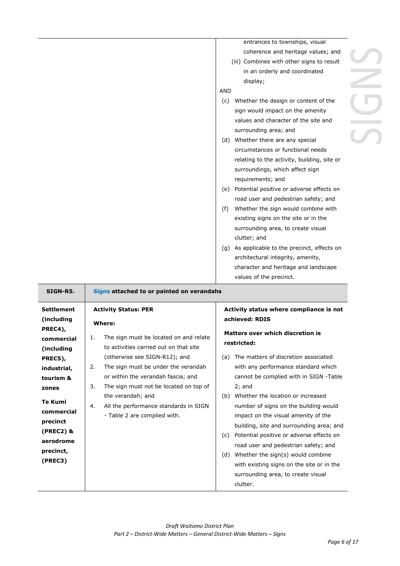entrances to townships, visual coherence and heritage values; and (iii) Combines with other signs to result in an orderly and coordinated display; AND (c) Whether the design or content of the sign would impact on the amenity values and character of the site and surrounding area; and (d) Whether there are any special circumstances or functional needs relating to the activity, building, site or surroundings, which affect sign requirements; and (e) Potential positive or adverse effects on road user and pedestrian safety; and (f) Whether the sign would combine with existing signs on the site or in the surrounding area, to create visual clutter; and (g) As applicable to the precinct, effects on architectural integrity, amenity, character and heritage and landscape values of the precinct.

| SIGN-R5.          | Signs attached to or painted on verandahs                |                                                 |  |
|-------------------|----------------------------------------------------------|-------------------------------------------------|--|
| <b>Settlement</b> | <b>Activity Status: PER</b>                              | Activity status where compliance is not         |  |
| (including        | Where:                                                   | achieved: RDIS                                  |  |
| PREC4),           |                                                          | Matters over which discretion is                |  |
| commercial        | The sign must be located on and relate<br>$\mathbf{1}$ . | restricted:                                     |  |
| (including        | to activities carried out on that site                   |                                                 |  |
| PREC5),           | (otherwise see SIGN-R12); and                            | The matters of discretion associated<br>(a)     |  |
| industrial,       | The sign must be under the verandah<br>2.                | with any performance standard which             |  |
| tourism &         | or within the verandah fascia; and                       | cannot be complied with in SIGN -Table          |  |
| zones             | The sign must not be located on top of<br>3.             | $2;$ and                                        |  |
|                   | the verandah; and                                        | Whether the location or increased<br>(b)        |  |
| <b>Te Kumi</b>    | All the performance standards in SIGN<br>4.              | number of signs on the building would           |  |
| commercial        | - Table 2 are complied with.                             | impact on the visual amenity of the             |  |
| precinct          |                                                          | building, site and surrounding area; and        |  |
| $(PREC2)$ &       |                                                          | Potential positive or adverse effects on<br>(c) |  |
| aerodrome         |                                                          | road user and pedestrian safety; and            |  |
| precinct,         |                                                          | (d) Whether the sign(s) would combine           |  |
| (PREC3)           |                                                          | with existing signs on the site or in the       |  |
|                   |                                                          | surrounding area, to create visual              |  |
|                   |                                                          | clutter.                                        |  |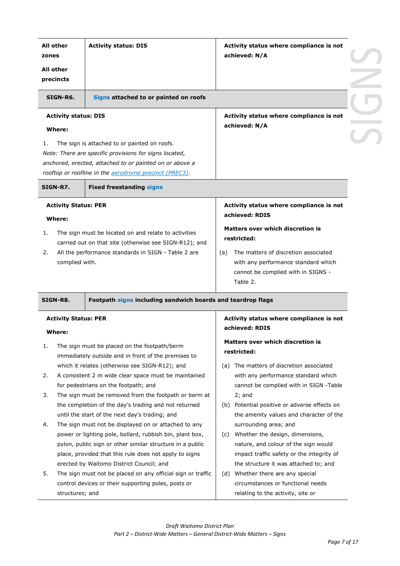| All other<br>zones |                             | <b>Activity status: DIS</b>                                                                                           | Activity status where compliance is not<br>achieved: N/A                       |
|--------------------|-----------------------------|-----------------------------------------------------------------------------------------------------------------------|--------------------------------------------------------------------------------|
| All other          | precincts                   |                                                                                                                       |                                                                                |
|                    | SIGN-R6.                    | Signs attached to or painted on roofs                                                                                 |                                                                                |
|                    | <b>Activity status: DIS</b> |                                                                                                                       | Activity status where compliance is not<br>achieved: N/A                       |
|                    | Where:                      |                                                                                                                       |                                                                                |
| 1.                 |                             | The sign is attached to or painted on roofs.                                                                          |                                                                                |
|                    |                             | Note: There are specific provisions for signs located,<br>anchored, erected, attached to or painted on or above a     |                                                                                |
|                    |                             | rooftop or roofline in the aerodrome precinct (PREC3).                                                                |                                                                                |
|                    | SIGN-R7.                    | <b>Fixed freestanding signs</b>                                                                                       |                                                                                |
|                    | <b>Activity Status: PER</b> |                                                                                                                       | Activity status where compliance is not                                        |
|                    | Where:                      |                                                                                                                       | achieved: RDIS                                                                 |
| 1.                 |                             | The sign must be located on and relate to activities                                                                  | Matters over which discretion is<br>restricted:                                |
|                    |                             | carried out on that site (otherwise see SIGN-R12); and                                                                |                                                                                |
| 2.                 |                             | All the performance standards in SIGN - Table 2 are                                                                   | The matters of discretion associated<br>(a)                                    |
|                    | complied with.              |                                                                                                                       | with any performance standard which<br>cannot be complied with in SIGNS -      |
|                    |                             |                                                                                                                       | Table 2.                                                                       |
|                    | SIGN-R8.                    | Footpath signs including sandwich boards and teardrop flags                                                           |                                                                                |
|                    | <b>Activity Status: PER</b> |                                                                                                                       | Activity status where compliance is not                                        |
|                    | Where:                      |                                                                                                                       | achieved: RDIS                                                                 |
|                    |                             |                                                                                                                       | Matters over which discretion is                                               |
| 1.                 |                             | The sign must be placed on the footpath/berm<br>immediately outside and in front of the premises to                   | restricted:                                                                    |
|                    |                             | which it relates (otherwise see SIGN-R12); and                                                                        | The matters of discretion associated<br>(a)                                    |
| 2.                 |                             | A consistent 2 m wide clear space must be maintained                                                                  | with any performance standard which                                            |
|                    |                             | for pedestrians on the footpath; and                                                                                  | cannot be complied with in SIGN -Table                                         |
| 3.                 |                             | The sign must be removed from the footpath or berm at                                                                 | $2;$ and                                                                       |
|                    |                             | the completion of the day's trading and not returned                                                                  | (b) Potential positive or adverse effects on                                   |
|                    |                             | until the start of the next day's trading; and                                                                        | the amenity values and character of the                                        |
| 4.                 |                             | The sign must not be displayed on or attached to any                                                                  | surrounding area; and                                                          |
|                    |                             | power or lighting pole, bollard, rubbish bin, plant box,<br>pylon, public sign or other similar structure in a public | Whether the design, dimensions,<br>(C)<br>nature, and colour of the sign would |
|                    |                             | place, provided that this rule does not apply to signs                                                                | impact traffic safety or the integrity of                                      |
|                    |                             | erected by Waitomo District Council; and                                                                              | the structure it was attached to; and                                          |
| 5.                 |                             | The sign must not be placed on any official sign or traffic                                                           | (d) Whether there are any special                                              |
|                    |                             |                                                                                                                       | circumstances or functional needs                                              |
|                    |                             | control devices or their supporting poles, posts or                                                                   |                                                                                |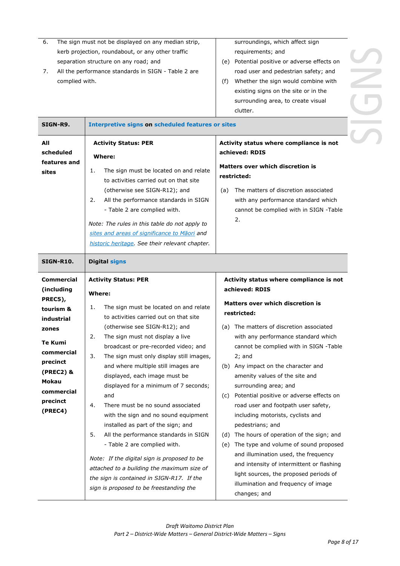| The sign must not be displayed on any median strip,<br>6.<br>kerb projection, roundabout, or any other traffic<br>separation structure on any road; and<br>All the performance standards in SIGN - Table 2 are<br>7.<br>complied with.                                                                                                                                                                                                                                                                                                                                                                                                                                                                                                                                                                                                                                                                                                                                                                               |                      | surroundings, which affect sign<br>requirements; and<br>(e) Potential positive or adverse effects on<br>road user and pedestrian safety; and<br>Whether the sign would combine with<br>(f)<br>existing signs on the site or in the<br>surrounding area, to create visual<br>clutter.                                                                                                                                                                                                                                                                                                                                                                                                                                                                                                                      |  |  |
|----------------------------------------------------------------------------------------------------------------------------------------------------------------------------------------------------------------------------------------------------------------------------------------------------------------------------------------------------------------------------------------------------------------------------------------------------------------------------------------------------------------------------------------------------------------------------------------------------------------------------------------------------------------------------------------------------------------------------------------------------------------------------------------------------------------------------------------------------------------------------------------------------------------------------------------------------------------------------------------------------------------------|----------------------|-----------------------------------------------------------------------------------------------------------------------------------------------------------------------------------------------------------------------------------------------------------------------------------------------------------------------------------------------------------------------------------------------------------------------------------------------------------------------------------------------------------------------------------------------------------------------------------------------------------------------------------------------------------------------------------------------------------------------------------------------------------------------------------------------------------|--|--|
| SIGN-R9.<br><b>Interpretive signs on scheduled features or sites</b><br>All<br><b>Activity Status: PER</b><br>scheduled<br>Where:<br>features and<br>The sign must be located on and relate<br>1.<br>sites<br>to activities carried out on that site<br>(otherwise see SIGN-R12); and<br>All the performance standards in SIGN<br>2.<br>- Table 2 are complied with.<br>Note: The rules in this table do not apply to<br>sites and areas of significance to Maori and<br>historic heritage. See their relevant chapter.                                                                                                                                                                                                                                                                                                                                                                                                                                                                                              |                      | Activity status where compliance is not<br>achieved: RDIS<br>Matters over which discretion is<br>restricted:<br>The matters of discretion associated<br>(a)<br>with any performance standard which<br>cannot be complied with in SIGN -Table<br>2.                                                                                                                                                                                                                                                                                                                                                                                                                                                                                                                                                        |  |  |
| SIGN-R10.                                                                                                                                                                                                                                                                                                                                                                                                                                                                                                                                                                                                                                                                                                                                                                                                                                                                                                                                                                                                            | <b>Digital signs</b> |                                                                                                                                                                                                                                                                                                                                                                                                                                                                                                                                                                                                                                                                                                                                                                                                           |  |  |
| <b>Commercial</b><br><b>Activity Status: PER</b><br>(including<br>Where:<br>PREC5),<br>The sign must be located on and relate<br>1.<br>tourism &<br>to activities carried out on that site<br>industrial<br>(otherwise see SIGN-R12); and<br>zones<br>The sign must not display a live<br>2.<br><b>Te Kumi</b><br>broadcast or pre-recorded video; and<br>commercial<br>3.<br>The sign must only display still images,<br>precinct<br>and where multiple still images are<br>$(PREC2)$ &<br>displayed, each image must be<br>Mokau<br>displayed for a minimum of 7 seconds;<br>commercial<br>and<br>precinct<br>There must be no sound associated<br>4.<br>(PREC4)<br>with the sign and no sound equipment<br>installed as part of the sign; and<br>5.<br>All the performance standards in SIGN<br>- Table 2 are complied with.<br>Note: If the digital sign is proposed to be<br>attached to a building the maximum size of<br>the sign is contained in SIGN-R17. If the<br>sign is proposed to be freestanding the |                      | Activity status where compliance is not<br>achieved: RDIS<br><b>Matters over which discretion is</b><br>restricted:<br>(a) The matters of discretion associated<br>with any performance standard which<br>cannot be complied with in SIGN -Table<br>$2;$ and<br>(b) Any impact on the character and<br>amenity values of the site and<br>surrounding area; and<br>Potential positive or adverse effects on<br>(C)<br>road user and footpath user safety,<br>including motorists, cyclists and<br>pedestrians; and<br>The hours of operation of the sign; and<br>(d)<br>The type and volume of sound proposed<br>(e)<br>and illumination used, the frequency<br>and intensity of intermittent or flashing<br>light sources, the proposed periods of<br>illumination and frequency of image<br>changes; and |  |  |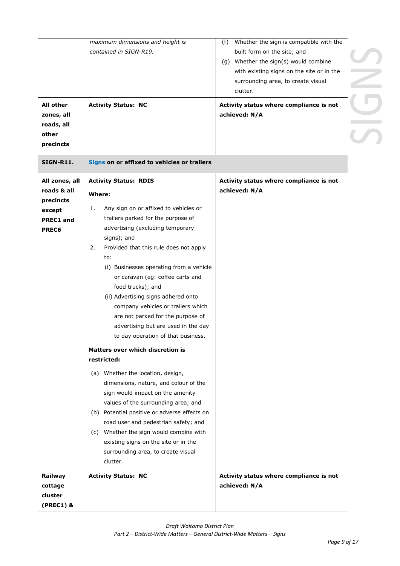| <b>All other</b><br>zones, all<br>roads, all<br>other<br>precincts<br><b>SIGN-R11.</b> | maximum dimensions and height is<br>contained in SIGN-R19.<br><b>Activity Status: NC</b><br>Signs on or affixed to vehicles or trailers                                                                                                                                                                                                                                                                                                                                                                                                                                                            | Whether the sign is compatible with the<br>(f)<br>built form on the site; and<br>(g) Whether the sign(s) would combine<br>with existing signs on the site or in the<br>surrounding area, to create visual<br>clutter.<br>Activity status where compliance is not<br>achieved: N/A |  |
|----------------------------------------------------------------------------------------|----------------------------------------------------------------------------------------------------------------------------------------------------------------------------------------------------------------------------------------------------------------------------------------------------------------------------------------------------------------------------------------------------------------------------------------------------------------------------------------------------------------------------------------------------------------------------------------------------|-----------------------------------------------------------------------------------------------------------------------------------------------------------------------------------------------------------------------------------------------------------------------------------|--|
| All zones, all<br>roads & all<br>precincts<br>except<br><b>PREC1 and</b><br>PREC6      | <b>Activity Status: RDIS</b><br><b>Where:</b><br>Any sign on or affixed to vehicles or<br>1.<br>trailers parked for the purpose of<br>advertising (excluding temporary<br>signs); and<br>Provided that this rule does not apply<br>2.<br>to:<br>(i) Businesses operating from a vehicle<br>or caravan (eg: coffee carts and<br>food trucks); and<br>(ii) Advertising signs adhered onto<br>company vehicles or trailers which<br>are not parked for the purpose of<br>advertising but are used in the day<br>to day operation of that business.<br>Matters over which discretion is<br>restricted: | Activity status where compliance is not<br>achieved: N/A                                                                                                                                                                                                                          |  |
|                                                                                        | (a) Whether the location, design,<br>dimensions, nature, and colour of the<br>sign would impact on the amenity<br>values of the surrounding area; and<br>(b) Potential positive or adverse effects on<br>road user and pedestrian safety; and<br>(c) Whether the sign would combine with<br>existing signs on the site or in the<br>surrounding area, to create visual<br>clutter.                                                                                                                                                                                                                 |                                                                                                                                                                                                                                                                                   |  |
| Railway<br>cottage<br>cluster<br>$(PREC1)$ &                                           | <b>Activity Status: NC</b>                                                                                                                                                                                                                                                                                                                                                                                                                                                                                                                                                                         | Activity status where compliance is not<br>achieved: N/A                                                                                                                                                                                                                          |  |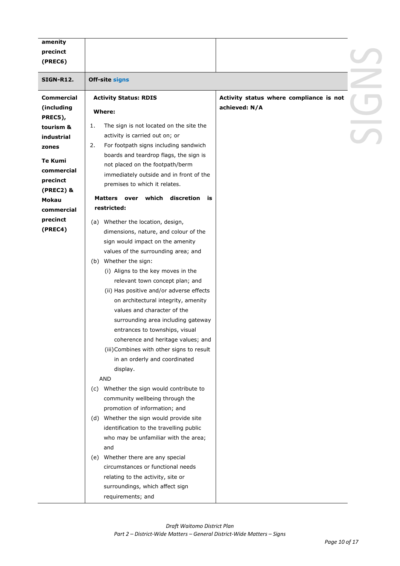| amenity            |                                                    |                                         |  |
|--------------------|----------------------------------------------------|-----------------------------------------|--|
| precinct           |                                                    |                                         |  |
| (PREC6)            |                                                    |                                         |  |
|                    |                                                    |                                         |  |
| SIGN-R12.          | Off-site signs                                     |                                         |  |
| <b>Commercial</b>  | <b>Activity Status: RDIS</b>                       | Activity status where compliance is not |  |
| (including         | Where:                                             | achieved: N/A                           |  |
| PREC5),            |                                                    |                                         |  |
| tourism &          | The sign is not located on the site the<br>1.      |                                         |  |
| industrial         | activity is carried out on; or                     |                                         |  |
| zones              | 2.<br>For footpath signs including sandwich        |                                         |  |
| Te Kumi            | boards and teardrop flags, the sign is             |                                         |  |
| commercial         | not placed on the footpath/berm                    |                                         |  |
|                    | immediately outside and in front of the            |                                         |  |
| precinct           | premises to which it relates.                      |                                         |  |
| (PREC2) &<br>Mokau | over which<br>discretion<br><b>Matters</b><br>is i |                                         |  |
| commercial         | restricted:                                        |                                         |  |
| precinct           |                                                    |                                         |  |
| (PREC4)            | (a) Whether the location, design,                  |                                         |  |
|                    | dimensions, nature, and colour of the              |                                         |  |
|                    | sign would impact on the amenity                   |                                         |  |
|                    | values of the surrounding area; and                |                                         |  |
|                    | (b) Whether the sign:                              |                                         |  |
|                    | (i) Aligns to the key moves in the                 |                                         |  |
|                    | relevant town concept plan; and                    |                                         |  |
|                    | (ii) Has positive and/or adverse effects           |                                         |  |
|                    | on architectural integrity, amenity                |                                         |  |
|                    | values and character of the                        |                                         |  |
|                    | surrounding area including gateway                 |                                         |  |
|                    | entrances to townships, visual                     |                                         |  |
|                    | coherence and heritage values; and                 |                                         |  |
|                    | (iii) Combines with other signs to result          |                                         |  |
|                    | in an orderly and coordinated                      |                                         |  |
|                    | display.                                           |                                         |  |
|                    | <b>AND</b>                                         |                                         |  |
|                    | Whether the sign would contribute to<br>(C)        |                                         |  |
|                    | community wellbeing through the                    |                                         |  |
|                    | promotion of information; and                      |                                         |  |
|                    | (d) Whether the sign would provide site            |                                         |  |
|                    | identification to the travelling public            |                                         |  |
|                    | who may be unfamiliar with the area;               |                                         |  |
|                    | and                                                |                                         |  |
|                    | (e) Whether there are any special                  |                                         |  |
|                    | circumstances or functional needs                  |                                         |  |
|                    | relating to the activity, site or                  |                                         |  |
|                    | surroundings, which affect sign                    |                                         |  |
|                    | requirements; and                                  |                                         |  |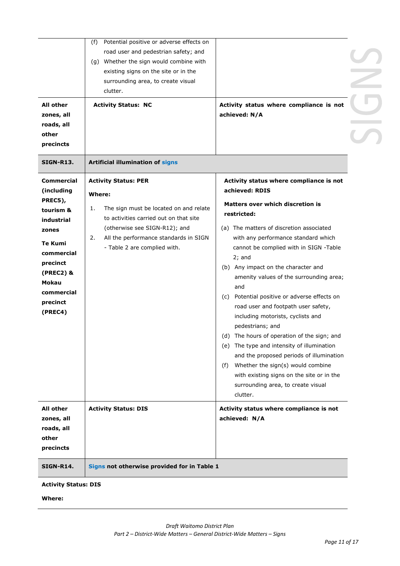| All other<br>zones, all<br>roads, all<br>other<br>precincts<br>SIGN-R13.                                                                                                       | Potential positive or adverse effects on<br>(f)<br>road user and pedestrian safety; and<br>(g) Whether the sign would combine with<br>existing signs on the site or in the<br>surrounding area, to create visual<br>clutter.<br><b>Activity Status: NC</b><br>Artificial illumination of signs | Activity status where compliance is not<br>achieved: N/A                                                                                                                                                                                                                                                                                                                                                                                                                                                                                                                                                                                                                                                                                                                           |  |
|--------------------------------------------------------------------------------------------------------------------------------------------------------------------------------|------------------------------------------------------------------------------------------------------------------------------------------------------------------------------------------------------------------------------------------------------------------------------------------------|------------------------------------------------------------------------------------------------------------------------------------------------------------------------------------------------------------------------------------------------------------------------------------------------------------------------------------------------------------------------------------------------------------------------------------------------------------------------------------------------------------------------------------------------------------------------------------------------------------------------------------------------------------------------------------------------------------------------------------------------------------------------------------|--|
| Commercial<br>(including<br>PREC5),<br>tourism &<br>industrial<br>zones<br>Te Kumi<br>commercial<br>precinct<br>(PREC2) &<br><b>Mokau</b><br>commercial<br>precinct<br>(PREC4) | <b>Activity Status: PER</b><br>Where:<br>The sign must be located on and relate<br>1.<br>to activities carried out on that site<br>(otherwise see SIGN-R12); and<br>All the performance standards in SIGN<br>2.<br>- Table 2 are complied with.                                                | Activity status where compliance is not<br>achieved: RDIS<br>Matters over which discretion is<br>restricted:<br>(a) The matters of discretion associated<br>with any performance standard which<br>cannot be complied with in SIGN -Table<br>$2;$ and<br>(b) Any impact on the character and<br>amenity values of the surrounding area;<br>and<br>(c) Potential positive or adverse effects on<br>road user and footpath user safety,<br>including motorists, cyclists and<br>pedestrians; and<br>(d) The hours of operation of the sign; and<br>(e) The type and intensity of illumination<br>and the proposed periods of illumination<br>Whether the sign(s) would combine<br>(f)<br>with existing signs on the site or in the<br>surrounding area, to create visual<br>clutter. |  |
| <b>All other</b><br>zones, all<br>roads, all<br>other<br>precincts                                                                                                             | <b>Activity Status: DIS</b>                                                                                                                                                                                                                                                                    | Activity status where compliance is not<br>achieved: N/A                                                                                                                                                                                                                                                                                                                                                                                                                                                                                                                                                                                                                                                                                                                           |  |
| SIGN-R14.                                                                                                                                                                      | Signs not otherwise provided for in Table 1                                                                                                                                                                                                                                                    |                                                                                                                                                                                                                                                                                                                                                                                                                                                                                                                                                                                                                                                                                                                                                                                    |  |
| <b>Activity Status: DIS</b>                                                                                                                                                    |                                                                                                                                                                                                                                                                                                |                                                                                                                                                                                                                                                                                                                                                                                                                                                                                                                                                                                                                                                                                                                                                                                    |  |

**Where:**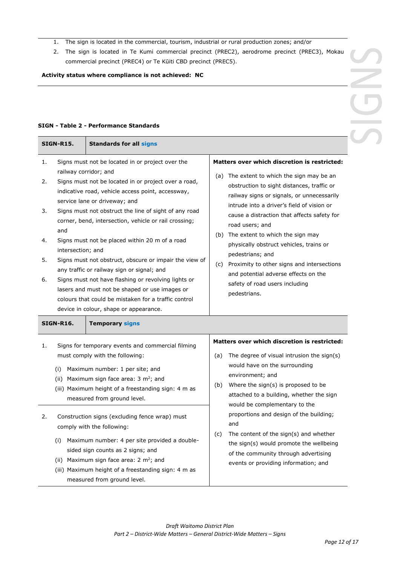- 1. The sign is located in the commercial, tourism, industrial or rural production zones; and/or
- 2. The sign is located in Te Kumi commercial precinct (PREC2), aerodrome precinct (PREC3), Mokau commercial precinct (PREC4) or Te Kūiti CBD precinct (PREC5).

**Activity status where compliance is not achieved: NC**

 $\sqrt{2}$ 

#### **SIGN - Table 2 - Performance Standards**

|                                            | <b>SIGN-R15.</b>         | <b>Standards for all signs</b>                                                                                                                                                                          |                                              |                                                                                                                                                                                                                                     |  |
|--------------------------------------------|--------------------------|---------------------------------------------------------------------------------------------------------------------------------------------------------------------------------------------------------|----------------------------------------------|-------------------------------------------------------------------------------------------------------------------------------------------------------------------------------------------------------------------------------------|--|
| 1.                                         |                          | Signs must not be located in or project over the                                                                                                                                                        | Matters over which discretion is restricted: |                                                                                                                                                                                                                                     |  |
| 2.<br>3.                                   | railway corridor; and    | Signs must not be located in or project over a road,<br>indicative road, vehicle access point, accessway,<br>service lane or driveway; and<br>Signs must not obstruct the line of sight of any road     |                                              | (a) The extent to which the sign may be an<br>obstruction to sight distances, traffic or<br>railway signs or signals, or unnecessarily<br>intrude into a driver's field of vision or<br>cause a distraction that affects safety for |  |
| 4.                                         | and<br>intersection; and | corner, bend, intersection, vehicle or rail crossing;<br>Signs must not be placed within 20 m of a road                                                                                                 |                                              | road users; and<br>(b) The extent to which the sign may<br>physically obstruct vehicles, trains or                                                                                                                                  |  |
| 5.                                         |                          | Signs must not obstruct, obscure or impair the view of<br>any traffic or railway sign or signal; and                                                                                                    |                                              | pedestrians; and<br>(c) Proximity to other signs and intersections                                                                                                                                                                  |  |
| 6.                                         |                          | Signs must not have flashing or revolving lights or<br>lasers and must not be shaped or use images or<br>colours that could be mistaken for a traffic control<br>device in colour, shape or appearance. |                                              | and potential adverse effects on the<br>safety of road users including<br>pedestrians.                                                                                                                                              |  |
| <b>SIGN-R16.</b><br><b>Temporary signs</b> |                          |                                                                                                                                                                                                         |                                              |                                                                                                                                                                                                                                     |  |
| 1.                                         |                          | Signs for temporary events and commercial filming                                                                                                                                                       |                                              | Matters over which discretion is restricted:                                                                                                                                                                                        |  |
|                                            |                          | must comply with the following:                                                                                                                                                                         | (a)                                          | The degree of visual intrusion the sign(s)<br>would have on the surrounding                                                                                                                                                         |  |
|                                            | (i)                      | Maximum number: 1 per site; and<br>(ii) Maximum sign face area: $3 \text{ m}^2$ ; and<br>(iii) Maximum height of a freestanding sign: 4 m as<br>measured from ground level.                             | (b)                                          | environment; and<br>Where the sign(s) is proposed to be<br>attached to a building, whether the sign<br>would be complementary to the                                                                                                |  |
|                                            |                          |                                                                                                                                                                                                         |                                              |                                                                                                                                                                                                                                     |  |
| 2.                                         |                          | Construction signs (excluding fence wrap) must<br>comply with the following:                                                                                                                            |                                              | proportions and design of the building;<br>and                                                                                                                                                                                      |  |
|                                            | (i)                      | Maximum number: 4 per site provided a double-<br>sided sign counts as 2 signs; and<br>(ii) Maximum sign face area: $2 \text{ m}^2$ ; and                                                                | (c)                                          | The content of the sign(s) and whether<br>the sign(s) would promote the wellbeing<br>of the community through advertising                                                                                                           |  |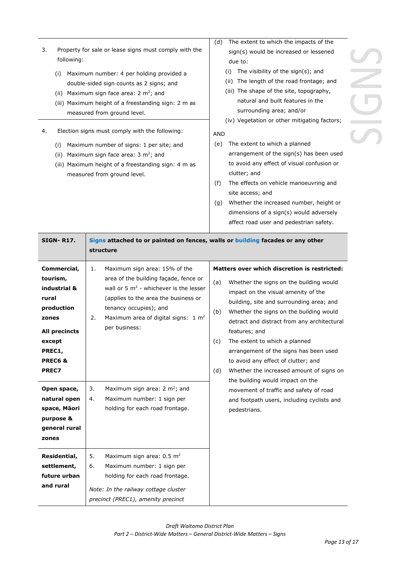- 3. Property for sale or lease signs must comply with the following:
	- (i) Maximum number: 4 per holding provided a double-sided sign counts as 2 signs; and
	- (ii) Maximum sign face area:  $2 \text{ m}^2$ ; and
	- (iii) Maximum height of a freestanding sign: 2 m as measured from ground level.
- 4. Election signs must comply with the following:
	- (i) Maximum number of signs: 1 per site; and
	- (ii) Maximum sign face area:  $3 \text{ m}^2$ ; and
	- (iii) Maximum height of a freestanding sign: 4 m as measured from ground level.
- (d) The extent to which the impacts of the sign(s) would be increased or lessened due to:
	- (i) The visibility of the sign(s); and
	- (ii) The length of the road frontage; and
	- (iii) The shape of the site, topography, natural and built features in the surrounding area; and/or
	- (iv) Vegetation or other mitigating factors;

#### AND

- (e) The extent to which a planned arrangement of the sign(s) has been used to avoid any effect of visual confusion or clutter; and
- (f) The effects on vehicle manoeuvring and site access; and
- (g) Whether the increased number, height or dimensions of a sign(s) would adversely affect road user and pedestrian safety.

| <b>SIGN-R17.</b>                                                                                                                                                                                                      | Signs attached to or painted on fences, walls or building facades or any other<br>structure                                                                                                                                                                                                                                                                                                                                                                                                                                                                                                                                                                                                                                                                                                                                                                                                                                                                                                                                 |
|-----------------------------------------------------------------------------------------------------------------------------------------------------------------------------------------------------------------------|-----------------------------------------------------------------------------------------------------------------------------------------------------------------------------------------------------------------------------------------------------------------------------------------------------------------------------------------------------------------------------------------------------------------------------------------------------------------------------------------------------------------------------------------------------------------------------------------------------------------------------------------------------------------------------------------------------------------------------------------------------------------------------------------------------------------------------------------------------------------------------------------------------------------------------------------------------------------------------------------------------------------------------|
| Commercial,<br>tourism,<br>industrial &<br>rural<br>production<br>zones<br>All precincts<br>except<br>PREC1,<br>PREC6&<br>PREC7<br>Open space,<br>natural open<br>space, Māori<br>purpose &<br>general rural<br>zones | Matters over which discretion is restricted:<br>Maximum sign area: 15% of the<br>1.<br>area of the building façade, fence or<br>Whether the signs on the building would<br>(a)<br>wall or 5 $m2$ - whichever is the lesser<br>impact on the visual amenity of the<br>(applies to the area the business or<br>building, site and surrounding area; and<br>tenancy occupies); and<br>Whether the signs on the building would<br>(b)<br>Maximum area of digital signs: $1 \text{ m}^2$<br>2.<br>detract and distract from any architectural<br>per business:<br>features; and<br>The extent to which a planned<br>(c)<br>arrangement of the signs has been used<br>to avoid any effect of clutter; and<br>Whether the increased amount of signs on<br>(d)<br>the building would impact on the<br>Maximum sign area: $2 \text{ m}^2$ ; and<br>3.<br>movement of traffic and safety of road<br>Maximum number: 1 sign per<br>4.<br>and footpath users, including cyclists and<br>holding for each road frontage.<br>pedestrians. |
| Residential,<br>settlement,<br>future urban<br>and rural                                                                                                                                                              | Maximum sign area: 0.5 m <sup>2</sup><br>5.<br>Maximum number: 1 sign per<br>6.<br>holding for each road frontage.<br>Note: In the railway cottage cluster<br>precinct (PREC1), amenity precinct                                                                                                                                                                                                                                                                                                                                                                                                                                                                                                                                                                                                                                                                                                                                                                                                                            |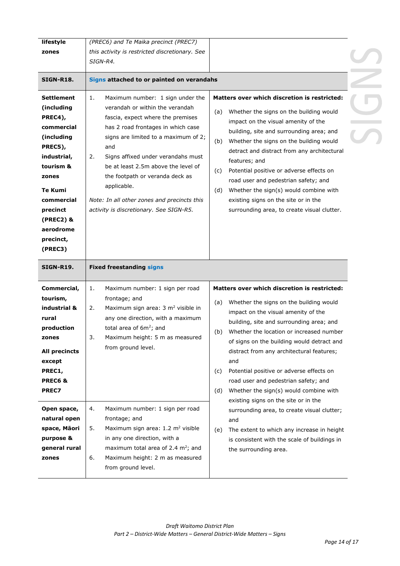| lifestyle                                  | (PREC6) and Te Maika precinct (PREC7)                                                                                        |                                                                                                                                          |  |  |
|--------------------------------------------|------------------------------------------------------------------------------------------------------------------------------|------------------------------------------------------------------------------------------------------------------------------------------|--|--|
| zones                                      | this activity is restricted discretionary. See                                                                               |                                                                                                                                          |  |  |
|                                            | SIGN-R4.                                                                                                                     |                                                                                                                                          |  |  |
| <b>SIGN-R18.</b>                           | Signs attached to or painted on verandahs                                                                                    |                                                                                                                                          |  |  |
|                                            |                                                                                                                              |                                                                                                                                          |  |  |
| Settlement<br>(including                   | Maximum number: 1 sign under the<br>1.<br>verandah or within the verandah                                                    | Matters over which discretion is restricted:<br>Whether the signs on the building would<br>(a)                                           |  |  |
| PREC4),<br>commercial<br>(including        | fascia, expect where the premises<br>has 2 road frontages in which case<br>signs are limited to a maximum of 2;              | impact on the visual amenity of the<br>building, site and surrounding area; and                                                          |  |  |
| PREC5),<br>industrial,                     | and<br>Signs affixed under verandahs must<br>2.                                                                              | Whether the signs on the building would<br>(b)<br>detract and distract from any architectural<br>features; and                           |  |  |
| tourism &<br>zones<br><b>Te Kumi</b>       | be at least 2.5m above the level of<br>the footpath or veranda deck as<br>applicable.                                        | Potential positive or adverse effects on<br>(c)<br>road user and pedestrian safety; and<br>Whether the sign(s) would combine with<br>(d) |  |  |
| commercial<br>precinct                     | Note: In all other zones and precincts this<br>activity is discretionary. See SIGN-R5.                                       | existing signs on the site or in the<br>surrounding area, to create visual clutter.                                                      |  |  |
| (PREC2) &<br>aerodrome<br>precinct,        |                                                                                                                              |                                                                                                                                          |  |  |
| (PREC3)                                    |                                                                                                                              |                                                                                                                                          |  |  |
|                                            |                                                                                                                              |                                                                                                                                          |  |  |
| <b>SIGN-R19.</b>                           | <b>Fixed freestanding signs</b>                                                                                              |                                                                                                                                          |  |  |
| Commercial,                                | 1.<br>Maximum number: 1 sign per road                                                                                        | <b>Matters over which discretion is restricted:</b>                                                                                      |  |  |
| tourism,<br>industrial &                   | frontage; and<br>Maximum sign area: 3 m <sup>2</sup> visible in<br>2.                                                        | Whether the signs on the building would<br>(a)                                                                                           |  |  |
| rural<br>production                        | any one direction, with a maximum<br>total area of 6m <sup>2</sup> ; and                                                     | impact on the visual amenity of the<br>building, site and surrounding area; and<br>Whether the location or increased number<br>(b)       |  |  |
| ∠ones<br>All precincts                     | Maximum height: 5 m as measured<br>from ground level.                                                                        | of signs on the building would detract and<br>distract from any architectural features;                                                  |  |  |
| except<br>PREC1,                           |                                                                                                                              | and<br>Potential positive or adverse effects on<br>(c)                                                                                   |  |  |
| PREC6&<br><b>PREC7</b>                     |                                                                                                                              | road user and pedestrian safety; and<br>Whether the sign(s) would combine with<br>(d)                                                    |  |  |
| Open space,<br>natural open                | 4.<br>Maximum number: 1 sign per road<br>frontage; and                                                                       | existing signs on the site or in the<br>surrounding area, to create visual clutter;<br>and                                               |  |  |
| space, Māori<br>purpose &<br>general rural | Maximum sign area: 1.2 m <sup>2</sup> visible<br>5.<br>in any one direction, with a<br>maximum total area of 2.4 $m^2$ ; and | The extent to which any increase in height<br>(e)<br>is consistent with the scale of buildings in<br>the surrounding area.               |  |  |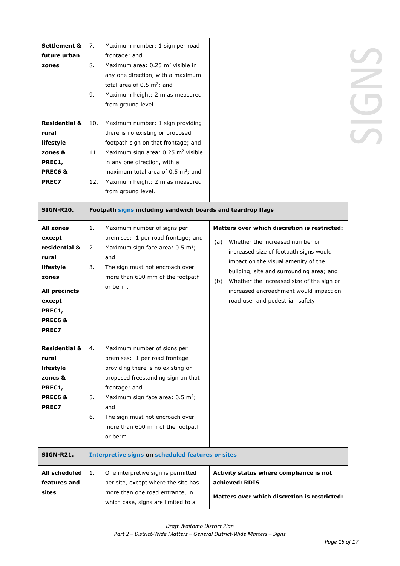| <b>Settlement &amp;</b><br>future urban<br>zones<br><b>Residential &amp;</b><br>rural<br>lifestyle<br>zones &<br>PREC1,<br>PREC6&<br><b>PREC7</b> | 7.<br>Maximum number: 1 sign per road<br>frontage; and<br>Maximum area: 0.25 m <sup>2</sup> visible in<br>8.<br>any one direction, with a maximum<br>total area of 0.5 $m^2$ ; and<br>9.<br>Maximum height: 2 m as measured<br>from ground level.<br>Maximum number: 1 sign providing<br>10.<br>there is no existing or proposed<br>footpath sign on that frontage; and<br>Maximum sign area: 0.25 m <sup>2</sup> visible<br>11.<br>in any one direction, with a<br>maximum total area of 0.5 m <sup>2</sup> ; and<br>Maximum height: 2 m as measured<br>12.<br>from ground level. |                                                                                                                                                                                                                                                                                                                                                       |  |  |
|---------------------------------------------------------------------------------------------------------------------------------------------------|------------------------------------------------------------------------------------------------------------------------------------------------------------------------------------------------------------------------------------------------------------------------------------------------------------------------------------------------------------------------------------------------------------------------------------------------------------------------------------------------------------------------------------------------------------------------------------|-------------------------------------------------------------------------------------------------------------------------------------------------------------------------------------------------------------------------------------------------------------------------------------------------------------------------------------------------------|--|--|
| <b>SIGN-R20.</b>                                                                                                                                  | Footpath signs including sandwich boards and teardrop flags                                                                                                                                                                                                                                                                                                                                                                                                                                                                                                                        |                                                                                                                                                                                                                                                                                                                                                       |  |  |
| All zones<br>except<br>residential &<br>rural<br>lifestyle<br>zones<br>All precincts<br>except<br>PREC1,<br>PREC6&<br><b>PREC7</b>                | Maximum number of signs per<br>1.<br>premises: 1 per road frontage; and<br>Maximum sign face area: $0.5 \text{ m}^2$ ;<br>2.<br>and<br>The sign must not encroach over<br>3.<br>more than 600 mm of the footpath<br>or berm.                                                                                                                                                                                                                                                                                                                                                       | Matters over which discretion is restricted:<br>Whether the increased number or<br>(a)<br>increased size of footpath signs would<br>impact on the visual amenity of the<br>building, site and surrounding area; and<br>Whether the increased size of the sign or<br>(b)<br>increased encroachment would impact on<br>road user and pedestrian safety. |  |  |
| <b>Residential &amp;</b><br>rural<br>lifestyle<br>zones &<br>PREC1,<br>PREC6&<br><b>PREC7</b>                                                     | 4.<br>Maximum number of signs per<br>premises: 1 per road frontage<br>providing there is no existing or<br>proposed freestanding sign on that<br>frontage; and<br>5.<br>Maximum sign face area: $0.5 \text{ m}^2$ ;<br>and<br>6.<br>The sign must not encroach over<br>more than 600 mm of the footpath<br>or berm.                                                                                                                                                                                                                                                                |                                                                                                                                                                                                                                                                                                                                                       |  |  |
| <b>SIGN-R21.</b>                                                                                                                                  | <b>Interpretive signs on scheduled features or sites</b>                                                                                                                                                                                                                                                                                                                                                                                                                                                                                                                           |                                                                                                                                                                                                                                                                                                                                                       |  |  |
| All scheduled<br>features and<br>sites                                                                                                            | 1.<br>One interpretive sign is permitted<br>per site, except where the site has<br>more than one road entrance, in<br>which case, signs are limited to a                                                                                                                                                                                                                                                                                                                                                                                                                           | Activity status where compliance is not<br>achieved: RDIS<br><b>Matters over which discretion is restricted:</b>                                                                                                                                                                                                                                      |  |  |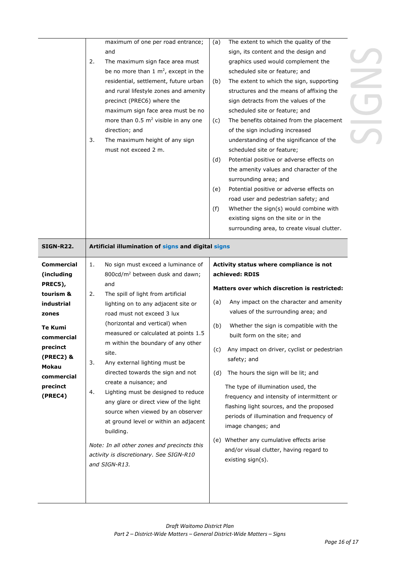| <b>SIGN-R22.</b>                                                                                                                                                               | maximum of one per road entrance;<br>and<br>2.<br>The maximum sign face area must<br>be no more than 1 $m^2$ , except in the<br>residential, settlement, future urban<br>and rural lifestyle zones and amenity<br>precinct (PREC6) where the<br>maximum sign face area must be no<br>more than 0.5 m <sup>2</sup> visible in any one<br>direction; and<br>3.<br>The maximum height of any sign<br>must not exceed 2 m.<br>Artificial illumination of signs and digital signs                                                                                                                                                                                                                                                               | The extent to which the quality of the<br>(a)<br>sign, its content and the design and<br>graphics used would complement the<br>scheduled site or feature; and<br>The extent to which the sign, supporting<br>(b)<br>structures and the means of affixing the<br>sign detracts from the values of the<br>scheduled site or feature; and<br>The benefits obtained from the placement<br>(c)<br>of the sign including increased<br>understanding of the significance of the<br>scheduled site or feature;<br>Potential positive or adverse effects on<br>(d)<br>the amenity values and character of the<br>surrounding area; and<br>Potential positive or adverse effects on<br>(e)<br>road user and pedestrian safety; and<br>(f)<br>Whether the sign(s) would combine with<br>existing signs on the site or in the<br>surrounding area, to create visual clutter. |  |
|--------------------------------------------------------------------------------------------------------------------------------------------------------------------------------|--------------------------------------------------------------------------------------------------------------------------------------------------------------------------------------------------------------------------------------------------------------------------------------------------------------------------------------------------------------------------------------------------------------------------------------------------------------------------------------------------------------------------------------------------------------------------------------------------------------------------------------------------------------------------------------------------------------------------------------------|------------------------------------------------------------------------------------------------------------------------------------------------------------------------------------------------------------------------------------------------------------------------------------------------------------------------------------------------------------------------------------------------------------------------------------------------------------------------------------------------------------------------------------------------------------------------------------------------------------------------------------------------------------------------------------------------------------------------------------------------------------------------------------------------------------------------------------------------------------------|--|
| <b>Commercial</b><br>(including<br>PREC5),<br>tourism &<br>industrial<br>zones<br>Te Kumi<br>commercial<br>precinct<br>(PREC2) &<br>Mokau<br>commercial<br>precinct<br>(PREC4) | 1.<br>No sign must exceed a luminance of<br>800cd/m <sup>2</sup> between dusk and dawn;<br>and<br>2.<br>The spill of light from artificial<br>lighting on to any adjacent site or<br>road must not exceed 3 lux<br>(horizontal and vertical) when<br>measured or calculated at points 1.5<br>m within the boundary of any other<br>site.<br>3.<br>Any external lighting must be<br>directed towards the sign and not<br>create a nuisance; and<br>Lighting must be designed to reduce<br>4.<br>any glare or direct view of the light<br>source when viewed by an observer<br>at ground level or within an adjacent<br>building.<br>Note: In all other zones and precincts this<br>activity is discretionary. See SIGN-R10<br>and SIGN-R13. | Activity status where compliance is not<br>achieved: RDIS<br>Matters over which discretion is restricted:<br>Any impact on the character and amenity<br>(a)<br>values of the surrounding area; and<br>Whether the sign is compatible with the<br>(b)<br>built form on the site; and<br>Any impact on driver, cyclist or pedestrian<br>(C)<br>safety; and<br>The hours the sign will be lit; and<br>(d)<br>The type of illumination used, the<br>frequency and intensity of intermittent or<br>flashing light sources, and the proposed<br>periods of illumination and frequency of<br>image changes; and<br>(e) Whether any cumulative effects arise<br>and/or visual clutter, having regard to<br>existing sign(s).                                                                                                                                             |  |